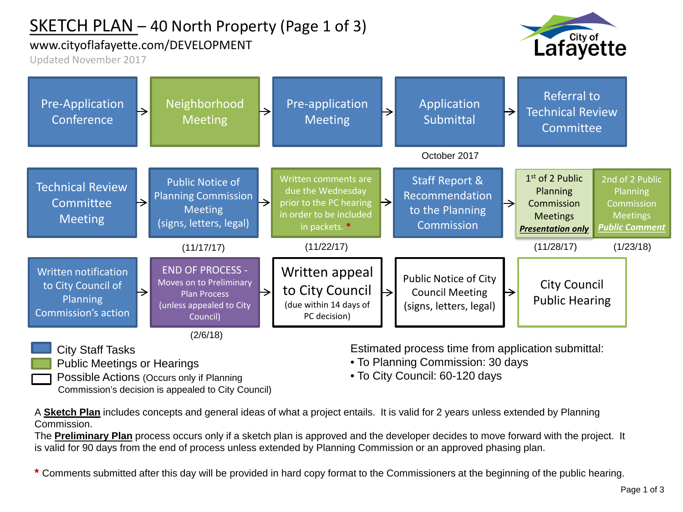## SKETCH PLAN – 40 North Property (Page 1 of 3)

#### www.cityoflafayette.com/DEVELOPMENT

Lafayette

Updated November 2017



City Staff Tasks

- Public Meetings or Hearings
- Possible Actions (Occurs only if Planning Commission's decision is appealed to City Council)

Estimated process time from application submittal:

- To Planning Commission: 30 days
- To City Council: 60-120 days

A **Sketch Plan** includes concepts and general ideas of what a project entails. It is valid for 2 years unless extended by Planning Commission.

The **Preliminary Plan** process occurs only if a sketch plan is approved and the developer decides to move forward with the project. It is valid for 90 days from the end of process unless extended by Planning Commission or an approved phasing plan.

**\*** Comments submitted after this day will be provided in hard copy format to the Commissioners at the beginning of the public hearing.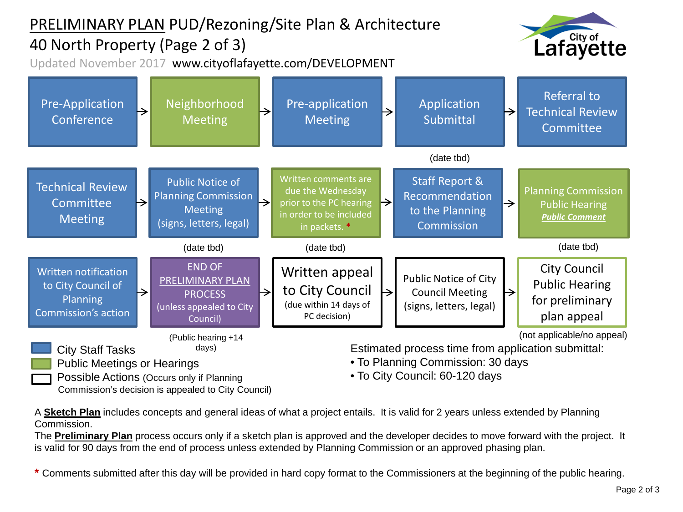# PRELIMINARY PLAN PUD/Rezoning/Site Plan & Architecture

### 40 North Property (Page 2 of 3)

Updated November 2017 www.cityoflafayette.com/DEVELOPMENT





Commission's decision is appealed to City Council)

A **Sketch Plan** includes concepts and general ideas of what a project entails. It is valid for 2 years unless extended by Planning Commission.

The **Preliminary Plan** process occurs only if a sketch plan is approved and the developer decides to move forward with the project. It is valid for 90 days from the end of process unless extended by Planning Commission or an approved phasing plan.

**\*** Comments submitted after this day will be provided in hard copy format to the Commissioners at the beginning of the public hearing.